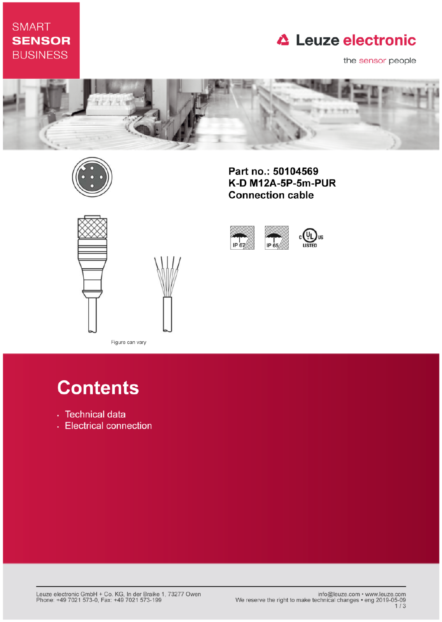# **SMART SENSOR BUSINESS**

# **△ Leuze electronic**

the sensor people





Part no.: 50104569 K-D M12A-5P-5m-PUR **Connection cable** 



IP 67 IP 65

**Contents** 

- · Technical data
- Electrical connection

Figure can vary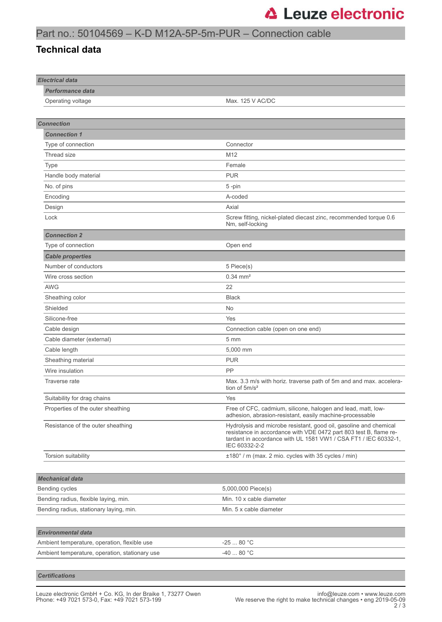### Part no.: 50104569 – K-D M12A-5P-5m-PUR – Connection cable

#### **Technical data**

| <b>Electrical data</b>                         |                                                                                                                                                                                                                            |
|------------------------------------------------|----------------------------------------------------------------------------------------------------------------------------------------------------------------------------------------------------------------------------|
| <b>Performance data</b>                        |                                                                                                                                                                                                                            |
| Operating voltage                              | Max. 125 V AC/DC                                                                                                                                                                                                           |
|                                                |                                                                                                                                                                                                                            |
| <b>Connection</b>                              |                                                                                                                                                                                                                            |
| <b>Connection 1</b>                            |                                                                                                                                                                                                                            |
| Type of connection                             | Connector                                                                                                                                                                                                                  |
| Thread size                                    | M <sub>12</sub>                                                                                                                                                                                                            |
| <b>Type</b>                                    | Female                                                                                                                                                                                                                     |
| Handle body material                           | <b>PUR</b>                                                                                                                                                                                                                 |
| No. of pins                                    | 5-pin                                                                                                                                                                                                                      |
| Encoding                                       | A-coded                                                                                                                                                                                                                    |
| Design                                         | Axial                                                                                                                                                                                                                      |
| Lock                                           | Screw fitting, nickel-plated diecast zinc, recommended torque 0.6<br>Nm, self-locking                                                                                                                                      |
| <b>Connection 2</b>                            |                                                                                                                                                                                                                            |
| Type of connection                             | Open end                                                                                                                                                                                                                   |
| <b>Cable properties</b>                        |                                                                                                                                                                                                                            |
| Number of conductors                           | 5 Piece(s)                                                                                                                                                                                                                 |
| Wire cross section                             | $0.34 \, \text{mm}^2$                                                                                                                                                                                                      |
| <b>AWG</b>                                     | 22                                                                                                                                                                                                                         |
| Sheathing color                                | <b>Black</b>                                                                                                                                                                                                               |
| Shielded                                       | No                                                                                                                                                                                                                         |
| Silicone-free                                  | Yes                                                                                                                                                                                                                        |
| Cable design                                   | Connection cable (open on one end)                                                                                                                                                                                         |
| Cable diameter (external)                      | 5 <sub>mm</sub>                                                                                                                                                                                                            |
| Cable length                                   | 5,000 mm                                                                                                                                                                                                                   |
| Sheathing material                             | <b>PUR</b>                                                                                                                                                                                                                 |
| Wire insulation                                | PP                                                                                                                                                                                                                         |
| Traverse rate                                  | Max. 3.3 m/s with horiz. traverse path of 5m and and max. accelera-<br>tion of $5m/s^2$                                                                                                                                    |
| Suitability for drag chains                    | Yes                                                                                                                                                                                                                        |
| Properties of the outer sheathing              | Free of CFC, cadmium, silicone, halogen and lead, matt, low-<br>adhesion, abrasion-resistant, easily machine-processable                                                                                                   |
| Resistance of the outer sheathing              | Hydrolysis and microbe resistant, good oil, gasoline and chemical<br>resistance in accordance with VDE 0472 part 803 test B, flame re-<br>tardant in accordance with UL 1581 VW1 / CSA FT1 / IEC 60332-1,<br>IEC 60332-2-2 |
| Torsion suitability                            | ±180° / m (max. 2 mio. cycles with 35 cycles / min)                                                                                                                                                                        |
|                                                |                                                                                                                                                                                                                            |
| <b>Mechanical data</b>                         |                                                                                                                                                                                                                            |
| Bending cycles                                 | 5,000,000 Piece(s)                                                                                                                                                                                                         |
| Bending radius, flexible laying, min.          | Min. 10 x cable diameter                                                                                                                                                                                                   |
| Bending radius, stationary laying, min.        | Min. 5 x cable diameter                                                                                                                                                                                                    |
|                                                |                                                                                                                                                                                                                            |
| <b>Environmental data</b>                      |                                                                                                                                                                                                                            |
| Ambient temperature, operation, flexible use   | -25  80 °C                                                                                                                                                                                                                 |
| Ambient temperature, operation, stationary use | -40  80 °C                                                                                                                                                                                                                 |
|                                                |                                                                                                                                                                                                                            |